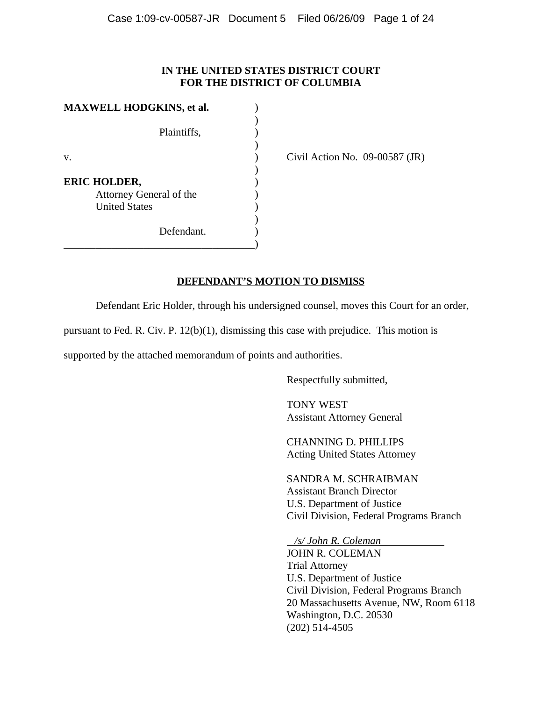## **IN THE UNITED STATES DISTRICT COURT FOR THE DISTRICT OF COLUMBIA**

| <b>MAXWELL HODGKINS, et al.</b> |             |
|---------------------------------|-------------|
|                                 |             |
|                                 | Plaintiffs, |
|                                 |             |
| v.                              |             |
|                                 |             |
| <b>ERIC HOLDER,</b>             |             |
| Attorney General of the         |             |
| <b>United States</b>            |             |
|                                 |             |
|                                 | Defendant.  |
|                                 |             |

Civil Action No.  $09-00587$  (JR)

## **DEFENDANT'S MOTION TO DISMISS**

Defendant Eric Holder, through his undersigned counsel, moves this Court for an order,

pursuant to Fed. R. Civ. P. 12(b)(1), dismissing this case with prejudice. This motion is

supported by the attached memorandum of points and authorities.

Respectfully submitted,

 TONY WEST Assistant Attorney General

 CHANNING D. PHILLIPS Acting United States Attorney

 SANDRA M. SCHRAIBMAN Assistant Branch Director U.S. Department of Justice Civil Division, Federal Programs Branch

*/s/ John R. Coleman*

JOHN R. COLEMAN Trial Attorney U.S. Department of Justice Civil Division, Federal Programs Branch 20 Massachusetts Avenue, NW, Room 6118 Washington, D.C. 20530 (202) 514-4505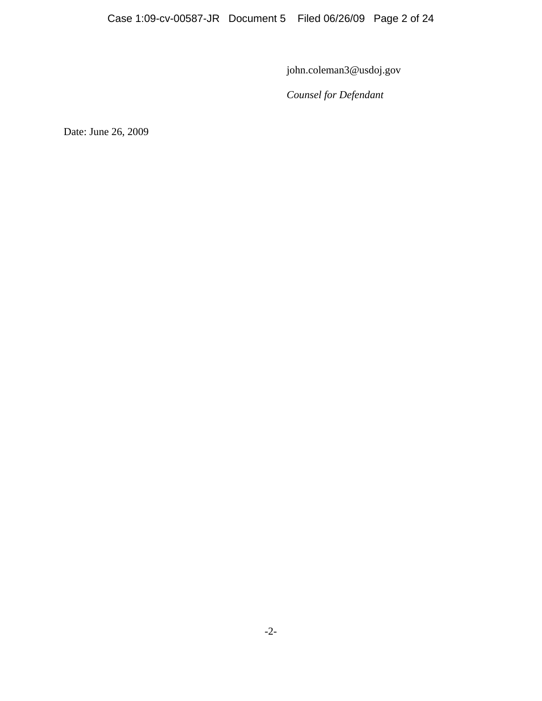john.coleman3@usdoj.gov

*Counsel for Defendant*

Date: June 26, 2009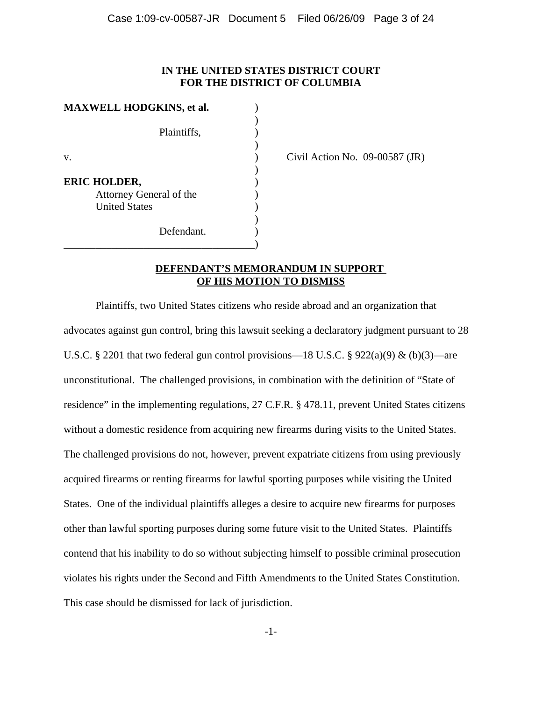## **IN THE UNITED STATES DISTRICT COURT FOR THE DISTRICT OF COLUMBIA**

| <b>MAXWELL HODGKINS, et al.</b> |             |  |
|---------------------------------|-------------|--|
|                                 |             |  |
|                                 | Plaintiffs, |  |
|                                 |             |  |
| v.                              |             |  |
|                                 |             |  |
| <b>ERIC HOLDER,</b>             |             |  |
| Attorney General of the         |             |  |
| <b>United States</b>            |             |  |
|                                 |             |  |
|                                 | Defendant.  |  |
|                                 |             |  |

Civil Action No.  $09-00587$  (JR)

## **DEFENDANT'S MEMORANDUM IN SUPPORT OF HIS MOTION TO DISMISS**

Plaintiffs, two United States citizens who reside abroad and an organization that advocates against gun control, bring this lawsuit seeking a declaratory judgment pursuant to 28 U.S.C. § 2201 that two federal gun control provisions—18 U.S.C. § 922(a)(9) & (b)(3)—are unconstitutional. The challenged provisions, in combination with the definition of "State of residence" in the implementing regulations, 27 C.F.R. § 478.11, prevent United States citizens without a domestic residence from acquiring new firearms during visits to the United States. The challenged provisions do not, however, prevent expatriate citizens from using previously acquired firearms or renting firearms for lawful sporting purposes while visiting the United States. One of the individual plaintiffs alleges a desire to acquire new firearms for purposes other than lawful sporting purposes during some future visit to the United States. Plaintiffs contend that his inability to do so without subjecting himself to possible criminal prosecution violates his rights under the Second and Fifth Amendments to the United States Constitution. This case should be dismissed for lack of jurisdiction.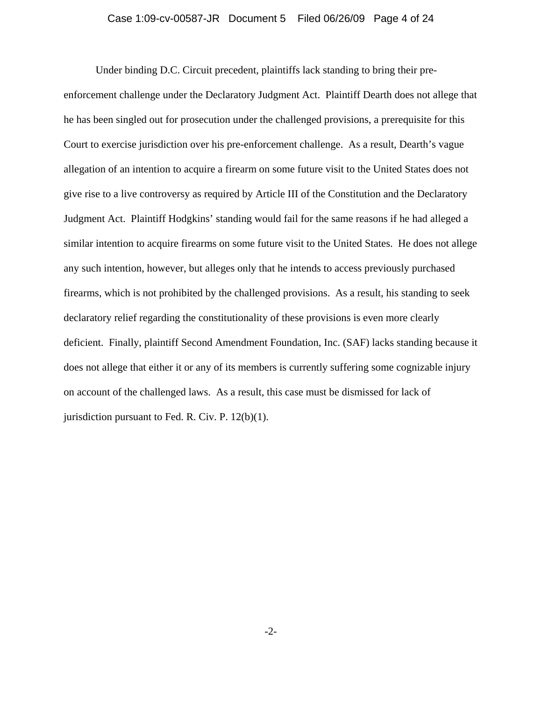#### Case 1:09-cv-00587-JR Document 5 Filed 06/26/09 Page 4 of 24

Under binding D.C. Circuit precedent, plaintiffs lack standing to bring their pre-

enforcement challenge under the Declaratory Judgment Act. Plaintiff Dearth does not allege that he has been singled out for prosecution under the challenged provisions, a prerequisite for this Court to exercise jurisdiction over his pre-enforcement challenge. As a result, Dearth's vague allegation of an intention to acquire a firearm on some future visit to the United States does not give rise to a live controversy as required by Article III of the Constitution and the Declaratory Judgment Act. Plaintiff Hodgkins' standing would fail for the same reasons if he had alleged a similar intention to acquire firearms on some future visit to the United States. He does not allege any such intention, however, but alleges only that he intends to access previously purchased firearms, which is not prohibited by the challenged provisions. As a result, his standing to seek declaratory relief regarding the constitutionality of these provisions is even more clearly deficient. Finally, plaintiff Second Amendment Foundation, Inc. (SAF) lacks standing because it does not allege that either it or any of its members is currently suffering some cognizable injury on account of the challenged laws. As a result, this case must be dismissed for lack of jurisdiction pursuant to Fed. R. Civ. P. 12(b)(1).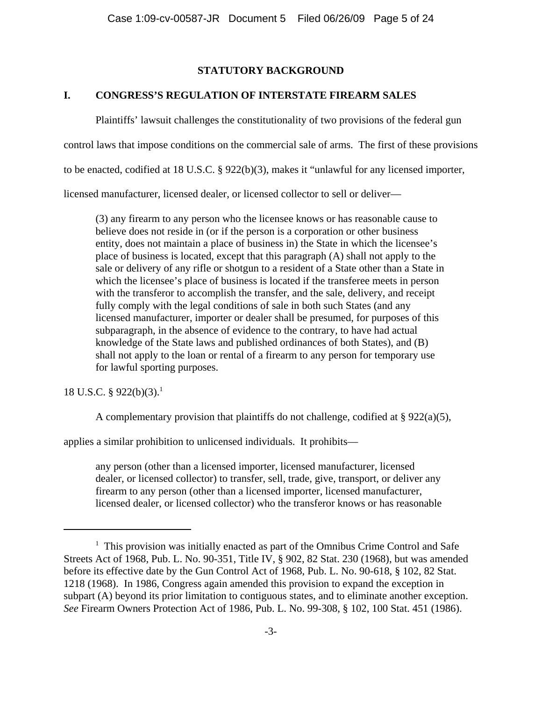# **STATUTORY BACKGROUND**

# **I. CONGRESS'S REGULATION OF INTERSTATE FIREARM SALES**

Plaintiffs' lawsuit challenges the constitutionality of two provisions of the federal gun control laws that impose conditions on the commercial sale of arms. The first of these provisions to be enacted, codified at 18 U.S.C. § 922(b)(3), makes it "unlawful for any licensed importer, licensed manufacturer, licensed dealer, or licensed collector to sell or deliver—

(3) any firearm to any person who the licensee knows or has reasonable cause to believe does not reside in (or if the person is a corporation or other business entity, does not maintain a place of business in) the State in which the licensee's place of business is located, except that this paragraph (A) shall not apply to the sale or delivery of any rifle or shotgun to a resident of a State other than a State in which the licensee's place of business is located if the transferee meets in person with the transferor to accomplish the transfer, and the sale, delivery, and receipt fully comply with the legal conditions of sale in both such States (and any licensed manufacturer, importer or dealer shall be presumed, for purposes of this subparagraph, in the absence of evidence to the contrary, to have had actual knowledge of the State laws and published ordinances of both States), and (B) shall not apply to the loan or rental of a firearm to any person for temporary use for lawful sporting purposes.

18 U.S.C. § 922(b)(3).<sup>1</sup>

A complementary provision that plaintiffs do not challenge, codified at § 922(a)(5),

applies a similar prohibition to unlicensed individuals. It prohibits—

any person (other than a licensed importer, licensed manufacturer, licensed dealer, or licensed collector) to transfer, sell, trade, give, transport, or deliver any firearm to any person (other than a licensed importer, licensed manufacturer, licensed dealer, or licensed collector) who the transferor knows or has reasonable

<sup>&</sup>lt;sup>1</sup> This provision was initially enacted as part of the Omnibus Crime Control and Safe Streets Act of 1968, Pub. L. No. 90-351, Title IV, § 902, 82 Stat. 230 (1968), but was amended before its effective date by the Gun Control Act of 1968, Pub. L. No. 90-618, § 102, 82 Stat. 1218 (1968). In 1986, Congress again amended this provision to expand the exception in subpart (A) beyond its prior limitation to contiguous states, and to eliminate another exception. *See* Firearm Owners Protection Act of 1986, Pub. L. No. 99-308, § 102, 100 Stat. 451 (1986).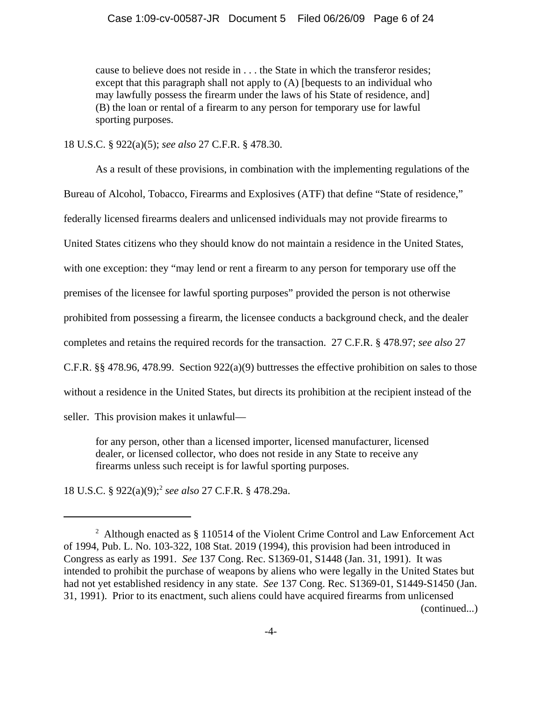cause to believe does not reside in . . . the State in which the transferor resides; except that this paragraph shall not apply to (A) [bequests to an individual who may lawfully possess the firearm under the laws of his State of residence, and] (B) the loan or rental of a firearm to any person for temporary use for lawful sporting purposes.

18 U.S.C. § 922(a)(5); *see also* 27 C.F.R. § 478.30.

As a result of these provisions, in combination with the implementing regulations of the Bureau of Alcohol, Tobacco, Firearms and Explosives (ATF) that define "State of residence," federally licensed firearms dealers and unlicensed individuals may not provide firearms to United States citizens who they should know do not maintain a residence in the United States, with one exception: they "may lend or rent a firearm to any person for temporary use off the premises of the licensee for lawful sporting purposes" provided the person is not otherwise prohibited from possessing a firearm, the licensee conducts a background check, and the dealer completes and retains the required records for the transaction. 27 C.F.R. § 478.97; *see also* 27 C.F.R.  $\S$  478.96, 478.99. Section 922(a)(9) buttresses the effective prohibition on sales to those without a residence in the United States, but directs its prohibition at the recipient instead of the seller. This provision makes it unlawful—

for any person, other than a licensed importer, licensed manufacturer, licensed dealer, or licensed collector, who does not reside in any State to receive any firearms unless such receipt is for lawful sporting purposes.

18 U.S.C. § 922(a)(9);2 *see also* 27 C.F.R. § 478.29a.

<sup>&</sup>lt;sup>2</sup> Although enacted as  $\S 110514$  of the Violent Crime Control and Law Enforcement Act of 1994, Pub. L. No. 103-322, 108 Stat. 2019 (1994), this provision had been introduced in Congress as early as 1991. *See* 137 Cong. Rec. S1369-01, S1448 (Jan. 31, 1991). It was intended to prohibit the purchase of weapons by aliens who were legally in the United States but had not yet established residency in any state. *See* 137 Cong. Rec. S1369-01, S1449-S1450 (Jan. 31, 1991). Prior to its enactment, such aliens could have acquired firearms from unlicensed (continued...)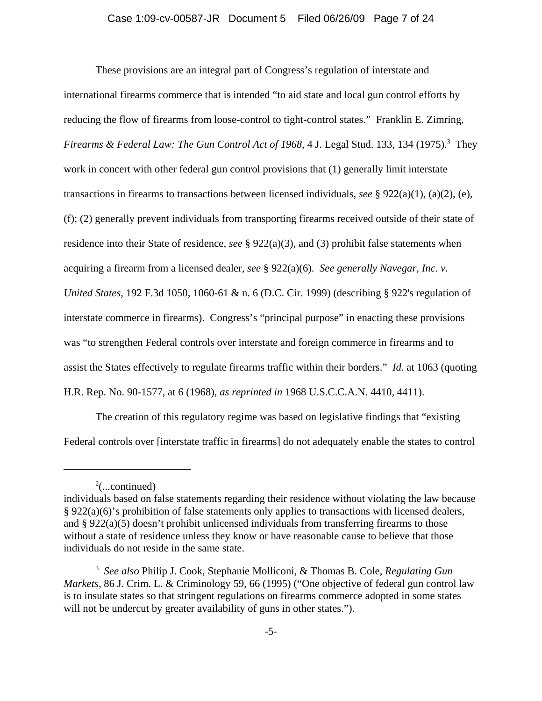These provisions are an integral part of Congress's regulation of interstate and international firearms commerce that is intended "to aid state and local gun control efforts by reducing the flow of firearms from loose-control to tight-control states." Franklin E. Zimring, Firearms & Federal Law: The Gun Control Act of 1968, 4 J. Legal Stud. 133, 134 (1975).<sup>3</sup> They work in concert with other federal gun control provisions that (1) generally limit interstate transactions in firearms to transactions between licensed individuals, *see* § 922(a)(1), (a)(2), (e), (f); (2) generally prevent individuals from transporting firearms received outside of their state of residence into their State of residence, *see* § 922(a)(3), and (3) prohibit false statements when acquiring a firearm from a licensed dealer, *see* § 922(a)(6). *See generally Navegar, Inc. v. United States*, 192 F.3d 1050, 1060-61 & n. 6 (D.C. Cir. 1999) (describing § 922's regulation of interstate commerce in firearms). Congress's "principal purpose" in enacting these provisions was "to strengthen Federal controls over interstate and foreign commerce in firearms and to assist the States effectively to regulate firearms traffic within their borders." *Id.* at 1063 (quoting H.R. Rep. No. 90-1577, at 6 (1968), *as reprinted in* 1968 U.S.C.C.A.N. 4410, 4411).

The creation of this regulatory regime was based on legislative findings that "existing Federal controls over [interstate traffic in firearms] do not adequately enable the states to control

 $2$ (...continued)

individuals based on false statements regarding their residence without violating the law because § 922(a)(6)'s prohibition of false statements only applies to transactions with licensed dealers, and §  $922(a)(5)$  doesn't prohibit unlicensed individuals from transferring firearms to those without a state of residence unless they know or have reasonable cause to believe that those individuals do not reside in the same state.

<sup>3</sup> *See also* Philip J. Cook, Stephanie Molliconi, & Thomas B. Cole*, Regulating Gun Markets,* 86 J. Crim. L. & Criminology 59, 66 (1995) ("One objective of federal gun control law is to insulate states so that stringent regulations on firearms commerce adopted in some states will not be undercut by greater availability of guns in other states.").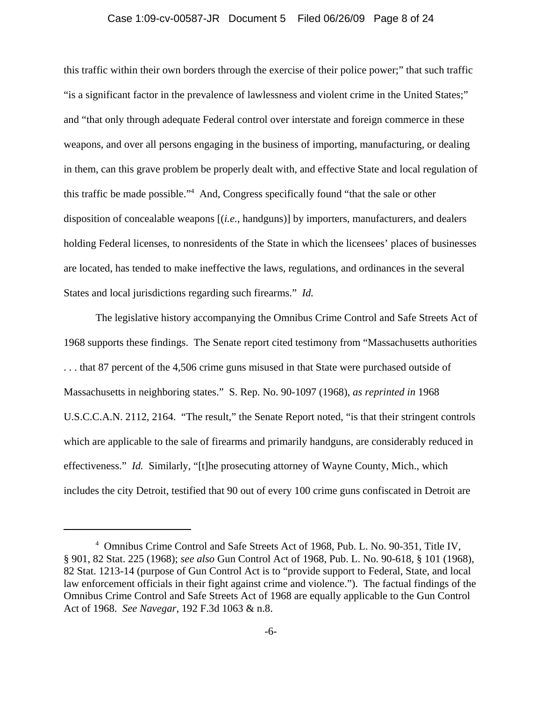#### Case 1:09-cv-00587-JR Document 5 Filed 06/26/09 Page 8 of 24

this traffic within their own borders through the exercise of their police power;" that such traffic "is a significant factor in the prevalence of lawlessness and violent crime in the United States;" and "that only through adequate Federal control over interstate and foreign commerce in these weapons, and over all persons engaging in the business of importing, manufacturing, or dealing in them, can this grave problem be properly dealt with, and effective State and local regulation of this traffic be made possible."4 And, Congress specifically found "that the sale or other disposition of concealable weapons [(*i.e.*, handguns)] by importers, manufacturers, and dealers holding Federal licenses, to nonresidents of the State in which the licensees' places of businesses are located, has tended to make ineffective the laws, regulations, and ordinances in the several States and local jurisdictions regarding such firearms." *Id.*

The legislative history accompanying the Omnibus Crime Control and Safe Streets Act of 1968 supports these findings. The Senate report cited testimony from "Massachusetts authorities . . . that 87 percent of the 4,506 crime guns misused in that State were purchased outside of Massachusetts in neighboring states." S. Rep. No. 90-1097 (1968), *as reprinted in* 1968 U.S.C.C.A.N. 2112, 2164. "The result," the Senate Report noted, "is that their stringent controls which are applicable to the sale of firearms and primarily handguns, are considerably reduced in effectiveness." *Id.* Similarly, "[t]he prosecuting attorney of Wayne County, Mich., which includes the city Detroit, testified that 90 out of every 100 crime guns confiscated in Detroit are

<sup>4</sup> Omnibus Crime Control and Safe Streets Act of 1968, Pub. L. No. 90-351, Title IV, § 901, 82 Stat. 225 (1968); *see also* Gun Control Act of 1968, Pub. L. No. 90-618, § 101 (1968), 82 Stat. 1213-14 (purpose of Gun Control Act is to "provide support to Federal, State, and local law enforcement officials in their fight against crime and violence."). The factual findings of the Omnibus Crime Control and Safe Streets Act of 1968 are equally applicable to the Gun Control Act of 1968. *See Navegar*, 192 F.3d 1063 & n.8.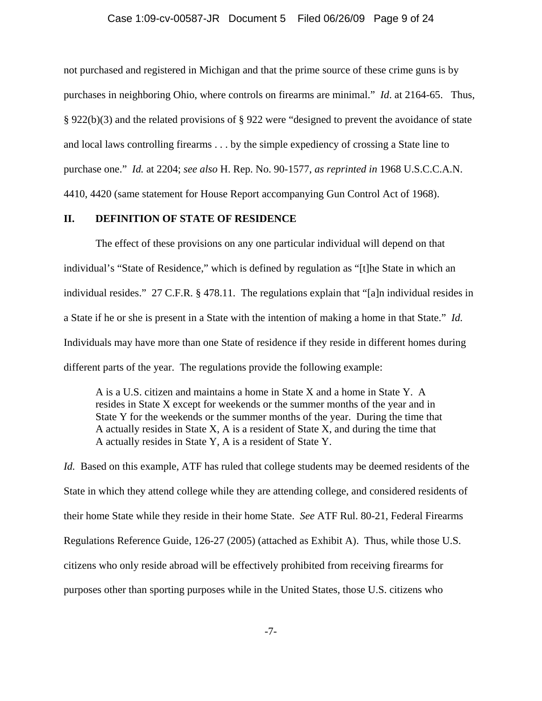not purchased and registered in Michigan and that the prime source of these crime guns is by purchases in neighboring Ohio, where controls on firearms are minimal." *Id*. at 2164-65. Thus, § 922(b)(3) and the related provisions of § 922 were "designed to prevent the avoidance of state and local laws controlling firearms . . . by the simple expediency of crossing a State line to purchase one." *Id.* at 2204; *see also* H. Rep. No. 90-1577, *as reprinted in* 1968 U.S.C.C.A.N. 4410, 4420 (same statement for House Report accompanying Gun Control Act of 1968).

### **II. DEFINITION OF STATE OF RESIDENCE**

The effect of these provisions on any one particular individual will depend on that individual's "State of Residence," which is defined by regulation as "[t]he State in which an individual resides." 27 C.F.R. § 478.11. The regulations explain that "[a]n individual resides in a State if he or she is present in a State with the intention of making a home in that State." *Id.* Individuals may have more than one State of residence if they reside in different homes during different parts of the year. The regulations provide the following example:

A is a U.S. citizen and maintains a home in State X and a home in State Y. A resides in State X except for weekends or the summer months of the year and in State Y for the weekends or the summer months of the year. During the time that A actually resides in State X, A is a resident of State X, and during the time that A actually resides in State Y, A is a resident of State Y.

*Id.* Based on this example, ATF has ruled that college students may be deemed residents of the State in which they attend college while they are attending college, and considered residents of their home State while they reside in their home State. *See* ATF Rul. 80-21, Federal Firearms Regulations Reference Guide, 126-27 (2005) (attached as Exhibit A). Thus, while those U.S. citizens who only reside abroad will be effectively prohibited from receiving firearms for purposes other than sporting purposes while in the United States, those U.S. citizens who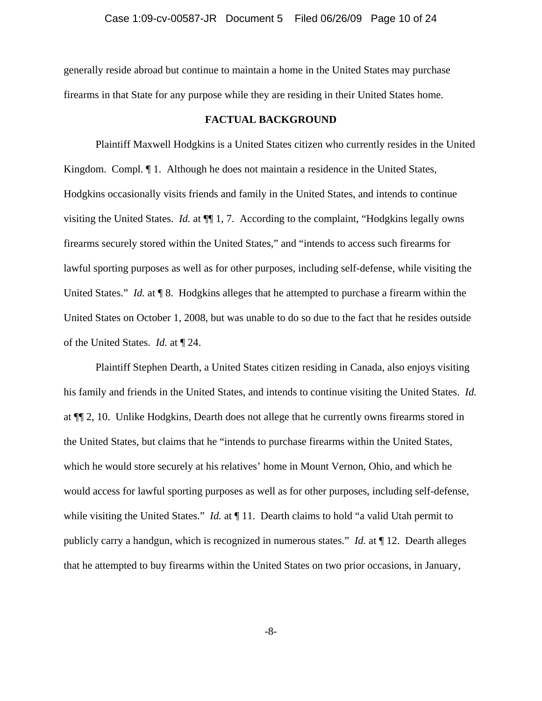generally reside abroad but continue to maintain a home in the United States may purchase firearms in that State for any purpose while they are residing in their United States home.

#### **FACTUAL BACKGROUND**

Plaintiff Maxwell Hodgkins is a United States citizen who currently resides in the United Kingdom. Compl. ¶ 1. Although he does not maintain a residence in the United States, Hodgkins occasionally visits friends and family in the United States, and intends to continue visiting the United States. *Id.* at ¶¶ 1, 7. According to the complaint, "Hodgkins legally owns firearms securely stored within the United States," and "intends to access such firearms for lawful sporting purposes as well as for other purposes, including self-defense, while visiting the United States." *Id.* at **[8.** Hodgkins alleges that he attempted to purchase a firearm within the United States on October 1, 2008, but was unable to do so due to the fact that he resides outside of the United States. *Id.* at ¶ 24.

Plaintiff Stephen Dearth, a United States citizen residing in Canada, also enjoys visiting his family and friends in the United States, and intends to continue visiting the United States. *Id.* at ¶¶ 2, 10. Unlike Hodgkins, Dearth does not allege that he currently owns firearms stored in the United States, but claims that he "intends to purchase firearms within the United States, which he would store securely at his relatives' home in Mount Vernon, Ohio, and which he would access for lawful sporting purposes as well as for other purposes, including self-defense, while visiting the United States." *Id.* at  $\P$  11. Dearth claims to hold "a valid Utah permit to publicly carry a handgun, which is recognized in numerous states." *Id.* at ¶ 12. Dearth alleges that he attempted to buy firearms within the United States on two prior occasions, in January,

-8-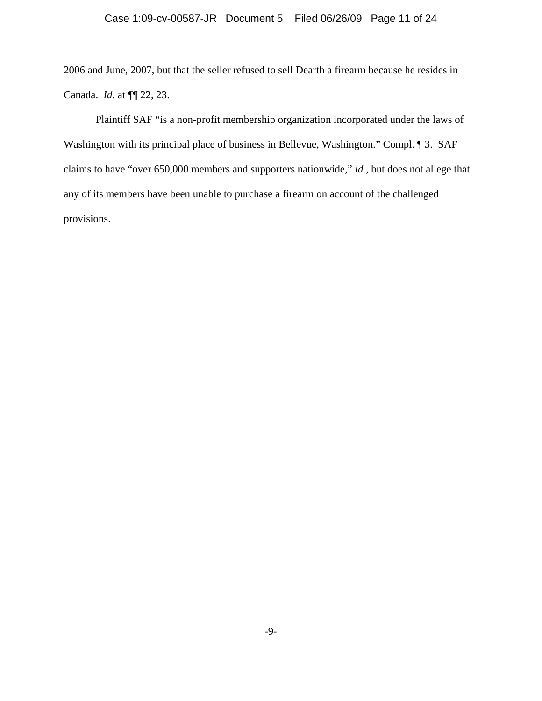2006 and June, 2007, but that the seller refused to sell Dearth a firearm because he resides in Canada. *Id.* at ¶¶ 22, 23.

Plaintiff SAF "is a non-profit membership organization incorporated under the laws of Washington with its principal place of business in Bellevue, Washington." Compl. 1 3. SAF claims to have "over 650,000 members and supporters nationwide," *id.*, but does not allege that any of its members have been unable to purchase a firearm on account of the challenged provisions.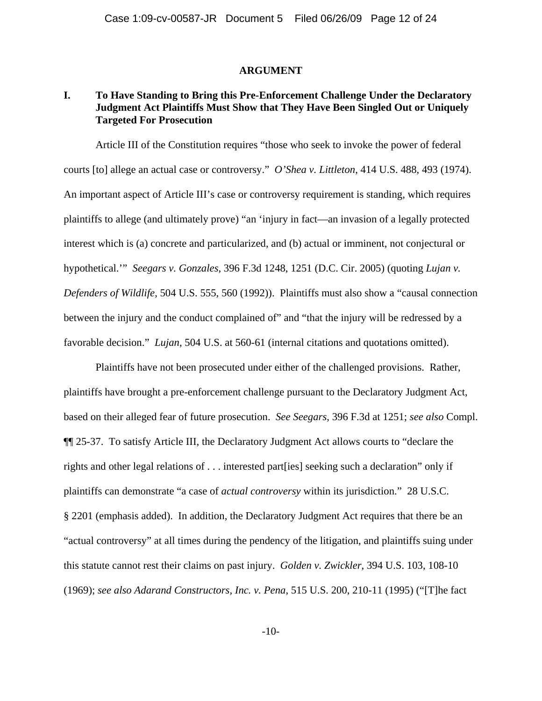#### **ARGUMENT**

## **I. To Have Standing to Bring this Pre-Enforcement Challenge Under the Declaratory Judgment Act Plaintiffs Must Show that They Have Been Singled Out or Uniquely Targeted For Prosecution**

Article III of the Constitution requires "those who seek to invoke the power of federal courts [to] allege an actual case or controversy." *O'Shea v. Littleton*, 414 U.S. 488, 493 (1974). An important aspect of Article III's case or controversy requirement is standing, which requires plaintiffs to allege (and ultimately prove) "an 'injury in fact—an invasion of a legally protected interest which is (a) concrete and particularized, and (b) actual or imminent, not conjectural or hypothetical.'" *Seegars v. Gonzales*, 396 F.3d 1248, 1251 (D.C. Cir. 2005) (quoting *Lujan v. Defenders of Wildlife*, 504 U.S. 555, 560 (1992)). Plaintiffs must also show a "causal connection between the injury and the conduct complained of" and "that the injury will be redressed by a favorable decision." *Lujan*, 504 U.S. at 560-61 (internal citations and quotations omitted).

Plaintiffs have not been prosecuted under either of the challenged provisions. Rather, plaintiffs have brought a pre-enforcement challenge pursuant to the Declaratory Judgment Act, based on their alleged fear of future prosecution. *See Seegars*, 396 F.3d at 1251; *see also* Compl. ¶¶ 25-37. To satisfy Article III, the Declaratory Judgment Act allows courts to "declare the rights and other legal relations of . . . interested part[ies] seeking such a declaration" only if plaintiffs can demonstrate "a case of *actual controversy* within its jurisdiction." 28 U.S.C. § 2201 (emphasis added). In addition, the Declaratory Judgment Act requires that there be an "actual controversy" at all times during the pendency of the litigation, and plaintiffs suing under this statute cannot rest their claims on past injury. *Golden v. Zwickler*, 394 U.S. 103, 108-10 (1969); *see also Adarand Constructors, Inc. v. Pena*, 515 U.S. 200, 210-11 (1995) ("[T]he fact

-10-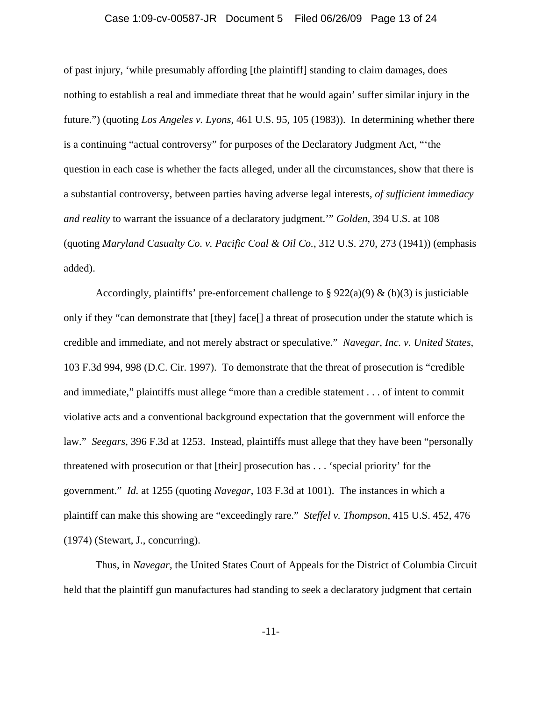#### Case 1:09-cv-00587-JR Document 5 Filed 06/26/09 Page 13 of 24

of past injury, 'while presumably affording [the plaintiff] standing to claim damages, does nothing to establish a real and immediate threat that he would again' suffer similar injury in the future.") (quoting *Los Angeles v. Lyons*, 461 U.S. 95, 105 (1983)). In determining whether there is a continuing "actual controversy" for purposes of the Declaratory Judgment Act, "'the question in each case is whether the facts alleged, under all the circumstances, show that there is a substantial controversy, between parties having adverse legal interests, *of sufficient immediacy and reality* to warrant the issuance of a declaratory judgment.'" *Golden*, 394 U.S. at 108 (quoting *Maryland Casualty Co. v. Pacific Coal & Oil Co.*, 312 U.S. 270, 273 (1941)) (emphasis added).

Accordingly, plaintiffs' pre-enforcement challenge to §  $922(a)(9)$  & (b)(3) is justiciable only if they "can demonstrate that [they] face[] a threat of prosecution under the statute which is credible and immediate, and not merely abstract or speculative." *Navegar, Inc. v. United States*, 103 F.3d 994, 998 (D.C. Cir. 1997). To demonstrate that the threat of prosecution is "credible and immediate," plaintiffs must allege "more than a credible statement . . . of intent to commit violative acts and a conventional background expectation that the government will enforce the law." *Seegars*, 396 F.3d at 1253. Instead, plaintiffs must allege that they have been "personally threatened with prosecution or that [their] prosecution has . . . 'special priority' for the government." *Id.* at 1255 (quoting *Navegar*, 103 F.3d at 1001). The instances in which a plaintiff can make this showing are "exceedingly rare." *Steffel v. Thompson*, 415 U.S. 452, 476 (1974) (Stewart, J., concurring).

Thus, in *Navegar*, the United States Court of Appeals for the District of Columbia Circuit held that the plaintiff gun manufactures had standing to seek a declaratory judgment that certain

-11-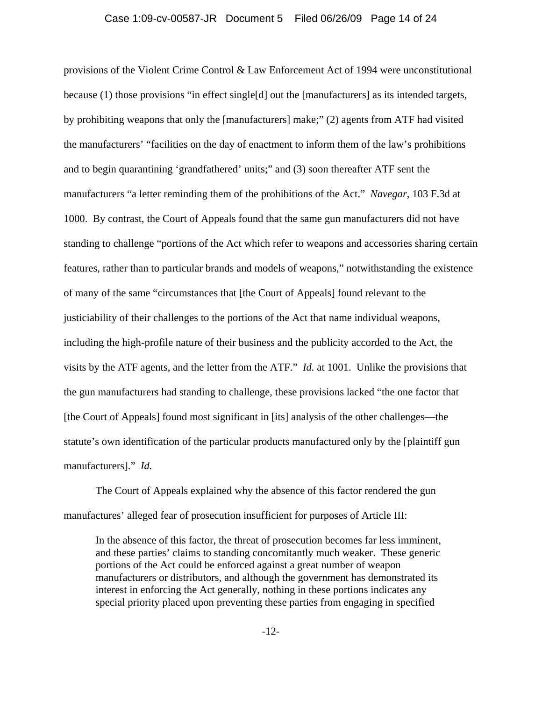#### Case 1:09-cv-00587-JR Document 5 Filed 06/26/09 Page 14 of 24

provisions of the Violent Crime Control & Law Enforcement Act of 1994 were unconstitutional because (1) those provisions "in effect single[d] out the [manufacturers] as its intended targets, by prohibiting weapons that only the [manufacturers] make;" (2) agents from ATF had visited the manufacturers' "facilities on the day of enactment to inform them of the law's prohibitions and to begin quarantining 'grandfathered' units;" and (3) soon thereafter ATF sent the manufacturers "a letter reminding them of the prohibitions of the Act." *Navegar*, 103 F.3d at 1000. By contrast, the Court of Appeals found that the same gun manufacturers did not have standing to challenge "portions of the Act which refer to weapons and accessories sharing certain features, rather than to particular brands and models of weapons," notwithstanding the existence of many of the same "circumstances that [the Court of Appeals] found relevant to the justiciability of their challenges to the portions of the Act that name individual weapons, including the high-profile nature of their business and the publicity accorded to the Act, the visits by the ATF agents, and the letter from the ATF." *Id.* at 1001. Unlike the provisions that the gun manufacturers had standing to challenge, these provisions lacked "the one factor that [the Court of Appeals] found most significant in [its] analysis of the other challenges—the statute's own identification of the particular products manufactured only by the [plaintiff gun manufacturers]." *Id.*

The Court of Appeals explained why the absence of this factor rendered the gun manufactures' alleged fear of prosecution insufficient for purposes of Article III:

In the absence of this factor, the threat of prosecution becomes far less imminent, and these parties' claims to standing concomitantly much weaker. These generic portions of the Act could be enforced against a great number of weapon manufacturers or distributors, and although the government has demonstrated its interest in enforcing the Act generally, nothing in these portions indicates any special priority placed upon preventing these parties from engaging in specified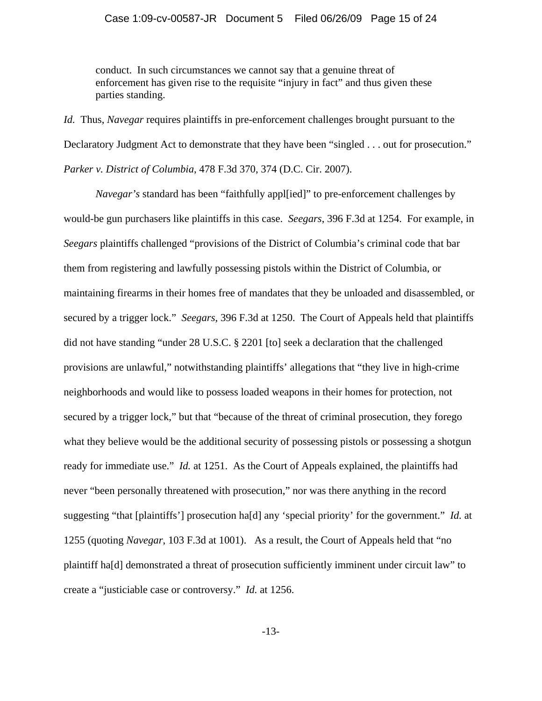conduct. In such circumstances we cannot say that a genuine threat of enforcement has given rise to the requisite "injury in fact" and thus given these parties standing.

*Id.* Thus, *Navegar* requires plaintiffs in pre-enforcement challenges brought pursuant to the Declaratory Judgment Act to demonstrate that they have been "singled . . . out for prosecution." *Parker v. District of Columbia*, 478 F.3d 370, 374 (D.C. Cir. 2007).

*Navegar's* standard has been "faithfully appl[ied]" to pre-enforcement challenges by would-be gun purchasers like plaintiffs in this case. *Seegars*, 396 F.3d at 1254. For example, in *Seegars* plaintiffs challenged "provisions of the District of Columbia's criminal code that bar them from registering and lawfully possessing pistols within the District of Columbia, or maintaining firearms in their homes free of mandates that they be unloaded and disassembled, or secured by a trigger lock." *Seegars*, 396 F.3d at 1250. The Court of Appeals held that plaintiffs did not have standing "under 28 U.S.C. § 2201 [to] seek a declaration that the challenged provisions are unlawful," notwithstanding plaintiffs' allegations that "they live in high-crime neighborhoods and would like to possess loaded weapons in their homes for protection, not secured by a trigger lock," but that "because of the threat of criminal prosecution, they forego what they believe would be the additional security of possessing pistols or possessing a shotgun ready for immediate use." *Id.* at 1251. As the Court of Appeals explained, the plaintiffs had never "been personally threatened with prosecution," nor was there anything in the record suggesting "that [plaintiffs'] prosecution ha[d] any 'special priority' for the government." *Id.* at 1255 (quoting *Navegar*, 103 F.3d at 1001). As a result, the Court of Appeals held that "no plaintiff ha[d] demonstrated a threat of prosecution sufficiently imminent under circuit law" to create a "justiciable case or controversy." *Id.* at 1256.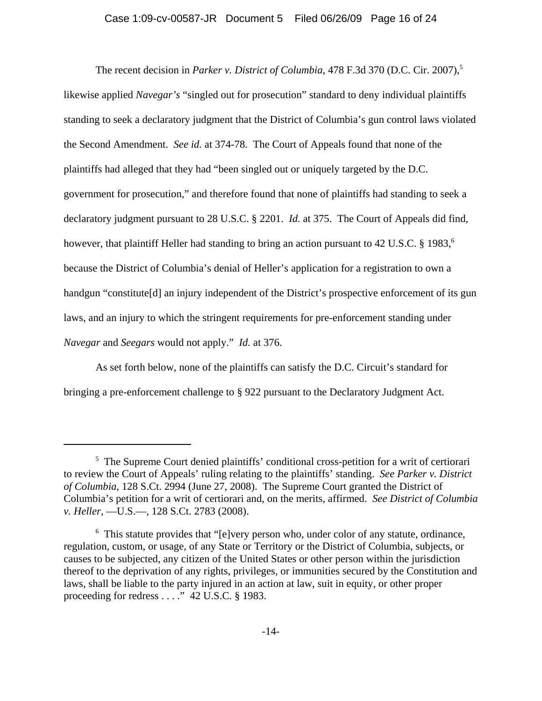### Case 1:09-cv-00587-JR Document 5 Filed 06/26/09 Page 16 of 24

The recent decision in *Parker v. District of Columbia*, 478 F.3d 370 (D.C. Cir. 2007),<sup>5</sup> likewise applied *Navegar's* "singled out for prosecution" standard to deny individual plaintiffs standing to seek a declaratory judgment that the District of Columbia's gun control laws violated the Second Amendment. *See id.* at 374-78. The Court of Appeals found that none of the plaintiffs had alleged that they had "been singled out or uniquely targeted by the D.C. government for prosecution," and therefore found that none of plaintiffs had standing to seek a declaratory judgment pursuant to 28 U.S.C. § 2201. *Id.* at 375. The Court of Appeals did find, however, that plaintiff Heller had standing to bring an action pursuant to 42 U.S.C. § 1983,<sup>6</sup> because the District of Columbia's denial of Heller's application for a registration to own a handgun "constitute<sup>[d]</sup> an injury independent of the District's prospective enforcement of its gun laws, and an injury to which the stringent requirements for pre-enforcement standing under *Navegar* and *Seegars* would not apply." *Id.* at 376.

As set forth below, none of the plaintiffs can satisfy the D.C. Circuit's standard for bringing a pre-enforcement challenge to § 922 pursuant to the Declaratory Judgment Act.

<sup>&</sup>lt;sup>5</sup> The Supreme Court denied plaintiffs' conditional cross-petition for a writ of certiorari to review the Court of Appeals' ruling relating to the plaintiffs' standing. *See Parker v. District of Columbia*, 128 S.Ct. 2994 (June 27, 2008). The Supreme Court granted the District of Columbia's petition for a writ of certiorari and, on the merits, affirmed. *See District of Columbia v. Heller*, —U.S.—, 128 S.Ct. 2783 (2008).

<sup>&</sup>lt;sup>6</sup> This statute provides that "[e]very person who, under color of any statute, ordinance, regulation, custom, or usage, of any State or Territory or the District of Columbia, subjects, or causes to be subjected, any citizen of the United States or other person within the jurisdiction thereof to the deprivation of any rights, privileges, or immunities secured by the Constitution and laws, shall be liable to the party injured in an action at law, suit in equity, or other proper proceeding for redress . . . ." 42 U.S.C. § 1983.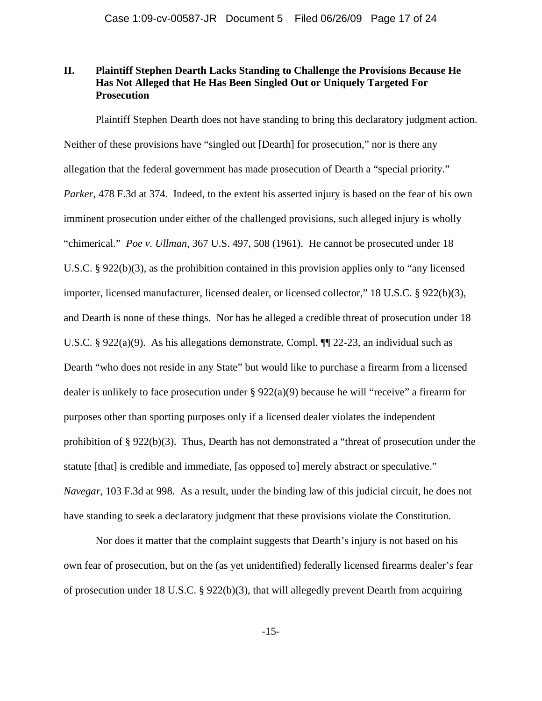# **II. Plaintiff Stephen Dearth Lacks Standing to Challenge the Provisions Because He Has Not Alleged that He Has Been Singled Out or Uniquely Targeted For Prosecution**

Plaintiff Stephen Dearth does not have standing to bring this declaratory judgment action. Neither of these provisions have "singled out [Dearth] for prosecution," nor is there any allegation that the federal government has made prosecution of Dearth a "special priority." *Parker*, 478 F.3d at 374. Indeed, to the extent his asserted injury is based on the fear of his own imminent prosecution under either of the challenged provisions, such alleged injury is wholly "chimerical." *Poe v. Ullman*, 367 U.S. 497, 508 (1961). He cannot be prosecuted under 18 U.S.C. § 922(b)(3), as the prohibition contained in this provision applies only to "any licensed importer, licensed manufacturer, licensed dealer, or licensed collector," 18 U.S.C. § 922(b)(3), and Dearth is none of these things. Nor has he alleged a credible threat of prosecution under 18 U.S.C. § 922(a)(9). As his allegations demonstrate, Compl. ¶¶ 22-23, an individual such as Dearth "who does not reside in any State" but would like to purchase a firearm from a licensed dealer is unlikely to face prosecution under  $\S 922(a)(9)$  because he will "receive" a firearm for purposes other than sporting purposes only if a licensed dealer violates the independent prohibition of § 922(b)(3). Thus, Dearth has not demonstrated a "threat of prosecution under the statute [that] is credible and immediate, [as opposed to] merely abstract or speculative." *Navegar*, 103 F.3d at 998. As a result, under the binding law of this judicial circuit, he does not have standing to seek a declaratory judgment that these provisions violate the Constitution.

Nor does it matter that the complaint suggests that Dearth's injury is not based on his own fear of prosecution, but on the (as yet unidentified) federally licensed firearms dealer's fear of prosecution under 18 U.S.C. § 922(b)(3), that will allegedly prevent Dearth from acquiring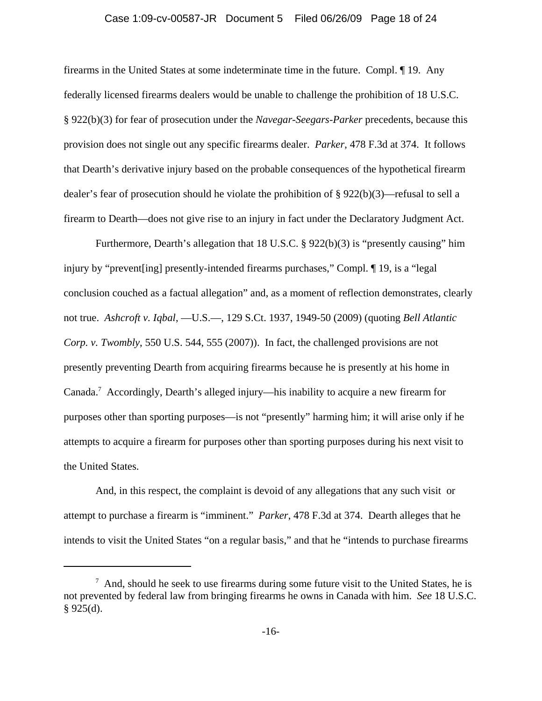#### Case 1:09-cv-00587-JR Document 5 Filed 06/26/09 Page 18 of 24

firearms in the United States at some indeterminate time in the future. Compl. ¶ 19. Any federally licensed firearms dealers would be unable to challenge the prohibition of 18 U.S.C. § 922(b)(3) for fear of prosecution under the *Navegar-Seegars-Parker* precedents, because this provision does not single out any specific firearms dealer. *Parker*, 478 F.3d at 374. It follows that Dearth's derivative injury based on the probable consequences of the hypothetical firearm dealer's fear of prosecution should he violate the prohibition of  $\S 922(b)(3)$ —refusal to sell a firearm to Dearth—does not give rise to an injury in fact under the Declaratory Judgment Act.

Furthermore, Dearth's allegation that 18 U.S.C. § 922(b)(3) is "presently causing" him injury by "prevent[ing] presently-intended firearms purchases," Compl. ¶ 19, is a "legal conclusion couched as a factual allegation" and, as a moment of reflection demonstrates, clearly not true. *Ashcroft v. Iqbal*, —U.S.—, 129 S.Ct. 1937, 1949-50 (2009) (quoting *Bell Atlantic Corp. v. Twombly*, 550 U.S. 544, 555 (2007)). In fact, the challenged provisions are not presently preventing Dearth from acquiring firearms because he is presently at his home in Canada.7 Accordingly, Dearth's alleged injury—his inability to acquire a new firearm for purposes other than sporting purposes—is not "presently" harming him; it will arise only if he attempts to acquire a firearm for purposes other than sporting purposes during his next visit to the United States.

And, in this respect, the complaint is devoid of any allegations that any such visit or attempt to purchase a firearm is "imminent." *Parker*, 478 F.3d at 374. Dearth alleges that he intends to visit the United States "on a regular basis," and that he "intends to purchase firearms

 $7$  And, should he seek to use firearms during some future visit to the United States, he is not prevented by federal law from bringing firearms he owns in Canada with him. *See* 18 U.S.C.  $§$  925(d).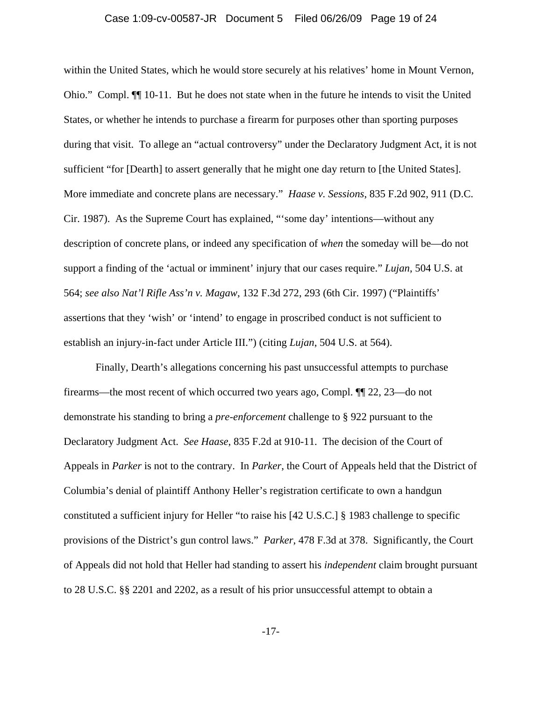#### Case 1:09-cv-00587-JR Document 5 Filed 06/26/09 Page 19 of 24

within the United States, which he would store securely at his relatives' home in Mount Vernon, Ohio." Compl. ¶¶ 10-11. But he does not state when in the future he intends to visit the United States, or whether he intends to purchase a firearm for purposes other than sporting purposes during that visit. To allege an "actual controversy" under the Declaratory Judgment Act, it is not sufficient "for [Dearth] to assert generally that he might one day return to [the United States]. More immediate and concrete plans are necessary." *Haase v. Sessions*, 835 F.2d 902, 911 (D.C. Cir. 1987). As the Supreme Court has explained, "'some day' intentions—without any description of concrete plans, or indeed any specification of *when* the someday will be—do not support a finding of the 'actual or imminent' injury that our cases require." *Lujan*, 504 U.S. at 564; *see also Nat'l Rifle Ass'n v. Magaw*, 132 F.3d 272, 293 (6th Cir. 1997) ("Plaintiffs' assertions that they 'wish' or 'intend' to engage in proscribed conduct is not sufficient to establish an injury-in-fact under Article III.") (citing *Lujan*, 504 U.S. at 564).

Finally, Dearth's allegations concerning his past unsuccessful attempts to purchase firearms—the most recent of which occurred two years ago, Compl. ¶¶ 22, 23—do not demonstrate his standing to bring a *pre-enforcement* challenge to § 922 pursuant to the Declaratory Judgment Act. *See Haase*, 835 F.2d at 910-11. The decision of the Court of Appeals in *Parker* is not to the contrary. In *Parker*, the Court of Appeals held that the District of Columbia's denial of plaintiff Anthony Heller's registration certificate to own a handgun constituted a sufficient injury for Heller "to raise his [42 U.S.C.] § 1983 challenge to specific provisions of the District's gun control laws." *Parker*, 478 F.3d at 378. Significantly, the Court of Appeals did not hold that Heller had standing to assert his *independent* claim brought pursuant to 28 U.S.C. §§ 2201 and 2202, as a result of his prior unsuccessful attempt to obtain a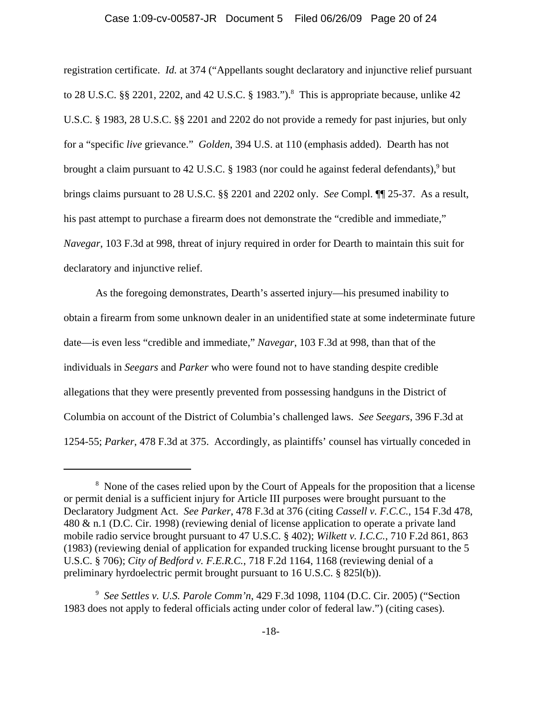#### Case 1:09-cv-00587-JR Document 5 Filed 06/26/09 Page 20 of 24

registration certificate. *Id.* at 374 ("Appellants sought declaratory and injunctive relief pursuant to 28 U.S.C.  $\S$  2201, 2202, and 42 U.S.C. § 1983.").<sup>8</sup> This is appropriate because, unlike 42 U.S.C. § 1983, 28 U.S.C. §§ 2201 and 2202 do not provide a remedy for past injuries, but only for a "specific *live* grievance." *Golden*, 394 U.S. at 110 (emphasis added). Dearth has not brought a claim pursuant to 42 U.S.C. § 1983 (nor could he against federal defendants),<sup>9</sup> but brings claims pursuant to 28 U.S.C. §§ 2201 and 2202 only. *See* Compl. ¶¶ 25-37. As a result, his past attempt to purchase a firearm does not demonstrate the "credible and immediate," *Navegar*, 103 F.3d at 998, threat of injury required in order for Dearth to maintain this suit for declaratory and injunctive relief.

As the foregoing demonstrates, Dearth's asserted injury—his presumed inability to obtain a firearm from some unknown dealer in an unidentified state at some indeterminate future date—is even less "credible and immediate," *Navegar*, 103 F.3d at 998, than that of the individuals in *Seegars* and *Parker* who were found not to have standing despite credible allegations that they were presently prevented from possessing handguns in the District of Columbia on account of the District of Columbia's challenged laws. *See Seegars*, 396 F.3d at 1254-55; *Parker*, 478 F.3d at 375. Accordingly, as plaintiffs' counsel has virtually conceded in

<sup>&</sup>lt;sup>8</sup> None of the cases relied upon by the Court of Appeals for the proposition that a license or permit denial is a sufficient injury for Article III purposes were brought pursuant to the Declaratory Judgment Act. *See Parker*, 478 F.3d at 376 (citing *Cassell v. F.C.C.*, 154 F.3d 478, 480 & n.1 (D.C. Cir. 1998) (reviewing denial of license application to operate a private land mobile radio service brought pursuant to 47 U.S.C. § 402); *Wilkett v. I.C.C.*, 710 F.2d 861, 863 (1983) (reviewing denial of application for expanded trucking license brought pursuant to the 5 U.S.C. § 706); *City of Bedford v. F.E.R.C.*, 718 F.2d 1164, 1168 (reviewing denial of a preliminary hyrdoelectric permit brought pursuant to 16 U.S.C. § 825l(b)).

<sup>9</sup> *See Settles v. U.S. Parole Comm'n*, 429 F.3d 1098, 1104 (D.C. Cir. 2005) ("Section 1983 does not apply to federal officials acting under color of federal law.") (citing cases).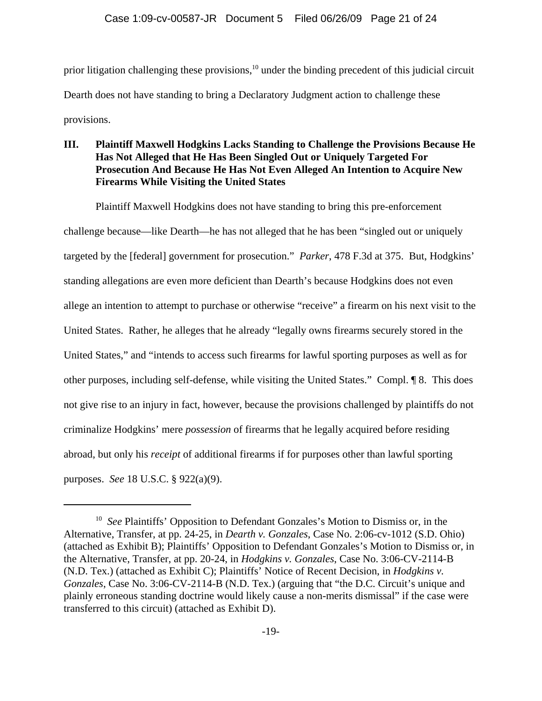prior litigation challenging these provisions,<sup>10</sup> under the binding precedent of this judicial circuit Dearth does not have standing to bring a Declaratory Judgment action to challenge these provisions.

# **III. Plaintiff Maxwell Hodgkins Lacks Standing to Challenge the Provisions Because He Has Not Alleged that He Has Been Singled Out or Uniquely Targeted For Prosecution And Because He Has Not Even Alleged An Intention to Acquire New Firearms While Visiting the United States**

Plaintiff Maxwell Hodgkins does not have standing to bring this pre-enforcement challenge because—like Dearth—he has not alleged that he has been "singled out or uniquely targeted by the [federal] government for prosecution." *Parker*, 478 F.3d at 375. But, Hodgkins' standing allegations are even more deficient than Dearth's because Hodgkins does not even allege an intention to attempt to purchase or otherwise "receive" a firearm on his next visit to the United States. Rather, he alleges that he already "legally owns firearms securely stored in the United States," and "intends to access such firearms for lawful sporting purposes as well as for other purposes, including self-defense, while visiting the United States." Compl. ¶ 8. This does not give rise to an injury in fact, however, because the provisions challenged by plaintiffs do not criminalize Hodgkins' mere *possession* of firearms that he legally acquired before residing abroad, but only his *receipt* of additional firearms if for purposes other than lawful sporting purposes. *See* 18 U.S.C. § 922(a)(9).

<sup>&</sup>lt;sup>10</sup> *See* Plaintiffs' Opposition to Defendant Gonzales's Motion to Dismiss or, in the Alternative, Transfer, at pp. 24-25, in *Dearth v. Gonzales*, Case No. 2:06-cv-1012 (S.D. Ohio) (attached as Exhibit B); Plaintiffs' Opposition to Defendant Gonzales's Motion to Dismiss or, in the Alternative, Transfer, at pp. 20-24, in *Hodgkins v. Gonzales*, Case No. 3:06-CV-2114-B (N.D. Tex.) (attached as Exhibit C); Plaintiffs' Notice of Recent Decision, in *Hodgkins v. Gonzales*, Case No. 3:06-CV-2114-B (N.D. Tex.) (arguing that "the D.C. Circuit's unique and plainly erroneous standing doctrine would likely cause a non-merits dismissal" if the case were transferred to this circuit) (attached as Exhibit D).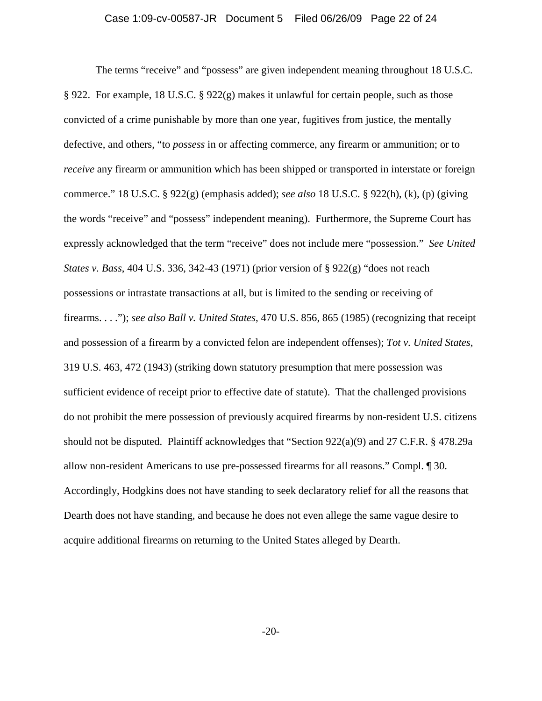The terms "receive" and "possess" are given independent meaning throughout 18 U.S.C. § 922. For example, 18 U.S.C. § 922(g) makes it unlawful for certain people, such as those convicted of a crime punishable by more than one year, fugitives from justice, the mentally defective, and others, "to *possess* in or affecting commerce, any firearm or ammunition; or to *receive* any firearm or ammunition which has been shipped or transported in interstate or foreign commerce." 18 U.S.C. § 922(g) (emphasis added); *see also* 18 U.S.C. § 922(h), (k), (p) (giving the words "receive" and "possess" independent meaning). Furthermore, the Supreme Court has expressly acknowledged that the term "receive" does not include mere "possession." *See United States v. Bass*, 404 U.S. 336, 342-43 (1971) (prior version of § 922(g) "does not reach possessions or intrastate transactions at all, but is limited to the sending or receiving of firearms. . . ."); *see also Ball v. United States*, 470 U.S. 856, 865 (1985) (recognizing that receipt and possession of a firearm by a convicted felon are independent offenses); *Tot v. United States*, 319 U.S. 463, 472 (1943) (striking down statutory presumption that mere possession was sufficient evidence of receipt prior to effective date of statute). That the challenged provisions do not prohibit the mere possession of previously acquired firearms by non-resident U.S. citizens should not be disputed. Plaintiff acknowledges that "Section 922(a)(9) and 27 C.F.R. § 478.29a allow non-resident Americans to use pre-possessed firearms for all reasons." Compl. ¶ 30. Accordingly, Hodgkins does not have standing to seek declaratory relief for all the reasons that Dearth does not have standing, and because he does not even allege the same vague desire to acquire additional firearms on returning to the United States alleged by Dearth.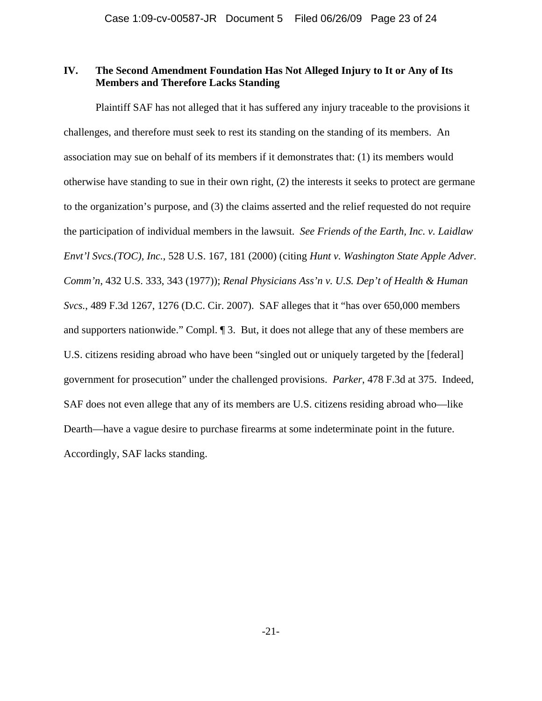# **IV. The Second Amendment Foundation Has Not Alleged Injury to It or Any of Its Members and Therefore Lacks Standing**

Plaintiff SAF has not alleged that it has suffered any injury traceable to the provisions it challenges, and therefore must seek to rest its standing on the standing of its members. An association may sue on behalf of its members if it demonstrates that: (1) its members would otherwise have standing to sue in their own right, (2) the interests it seeks to protect are germane to the organization's purpose, and (3) the claims asserted and the relief requested do not require the participation of individual members in the lawsuit. *See Friends of the Earth, Inc. v. Laidlaw Envt'l Svcs.(TOC), Inc.*, 528 U.S. 167, 181 (2000) (citing *Hunt v. Washington State Apple Adver. Comm'n*, 432 U.S. 333, 343 (1977)); *Renal Physicians Ass'n v. U.S. Dep't of Health & Human Svcs.*, 489 F.3d 1267, 1276 (D.C. Cir. 2007). SAF alleges that it "has over 650,000 members and supporters nationwide." Compl. ¶ 3. But, it does not allege that any of these members are U.S. citizens residing abroad who have been "singled out or uniquely targeted by the [federal] government for prosecution" under the challenged provisions. *Parker*, 478 F.3d at 375. Indeed, SAF does not even allege that any of its members are U.S. citizens residing abroad who—like Dearth—have a vague desire to purchase firearms at some indeterminate point in the future. Accordingly, SAF lacks standing.